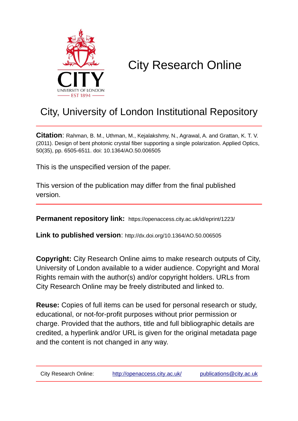

# City Research Online

## City, University of London Institutional Repository

**Citation**: Rahman, B. M., Uthman, M., Kejalakshmy, N., Agrawal, A. and Grattan, K. T. V. (2011). Design of bent photonic crystal fiber supporting a single polarization. Applied Optics, 50(35), pp. 6505-6511. doi: 10.1364/AO.50.006505

This is the unspecified version of the paper.

This version of the publication may differ from the final published version.

**Permanent repository link:** https://openaccess.city.ac.uk/id/eprint/1223/

**Link to published version**: http://dx.doi.org/10.1364/AO.50.006505

**Copyright:** City Research Online aims to make research outputs of City, University of London available to a wider audience. Copyright and Moral Rights remain with the author(s) and/or copyright holders. URLs from City Research Online may be freely distributed and linked to.

**Reuse:** Copies of full items can be used for personal research or study, educational, or not-for-profit purposes without prior permission or charge. Provided that the authors, title and full bibliographic details are credited, a hyperlink and/or URL is given for the original metadata page and the content is not changed in any way.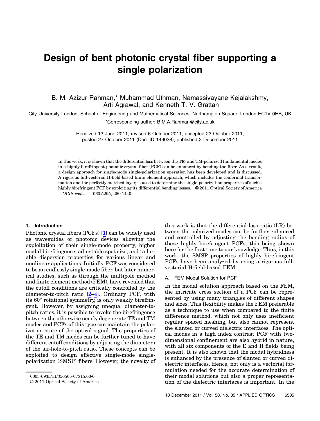### Design of bent photonic crystal fiber supporting a single polarization

B. M. Azizur Rahman,\* Muhammad Uthman, Namassivayane Kejalakshmy, Arti Agrawal, and Kenneth T. V. Grattan

City University London, School of Engineering and Mathematical Sciences, Northampton Square, London EC1V 0HB, UK

\*Corresponding author: B.M.A.Rahman@city.ac.uk

Received 13 June 2011; revised 6 October 2011; accepted 23 October 2011; posted 27 October 2011 (Doc. ID 149028); published 2 December 2011

In this work, it is shown that the differential loss between the TE- and TM-polarized fundamental modes in a highly birefringent photonic crystal fiber (PCF) can be enhanced by bending the fiber. As a result, a design approach for single-mode single-polarization operation has been developed and is discussed. A rigorous full-vectorial H-field-based finite element approach, which includes the conformal transformation and the perfectly matched layer, is used to determine the single-polarization properties of such a highly birefringent PCF by exploiting its differential bending losses. © 2011 Optical Society of America OCIS codes: 060.5295, 260.1440.

#### 1. Introduction

Photonic crystal fibers (PCFs) [1] can be widely used as waveguides or photonic devices allowing the exploitation of their single-mode property, higher modal birefringence, adjustable spot size, and tailorable dispersion properties for various linear and nonlinear applications. Initially, PCF was considered to be an endlessly single-mode fiber, but later numerical studies, such as through the multipole method and finite element method (FEM), have revealed that the cutoff conditions are critically controlled by the diameter-to-pitch ratio [2–4]. Ordinary PCF, with its 60° rotational symmetry, is only weakly birefringent. However, by assigning unequal diameter-topitch ratios, it is possible to invoke the birefringence between the otherwise nearly degenerate TE and TM modes and PCFs of this type can maintain the polarization state of the optical signal. The properties of the TE and TM modes can be further tuned to have different cutoff conditions by adjusting the diameters of the air-hole-to-pitch ratio. These concepts can be exploited to design effective single-mode singlepolarization (SMSP) fibers. However, the novelty of

this work is that the differential loss ratio (LR) between the polarized modes can be further enhanced and controlled by adjusting the bending radius of these highly birefringent PCFs, this being shown here for the first time to our knowledge. Thus, in this work, the SMSP properties of highly birefringent PCFs have been analyzed by using a rigorous fullvectorial H-field-based FEM.

#### A. FEM Modal Solution for PCF

In the modal solution approach based on the FEM, the intricate cross section of a PCF can be represented by using many triangles of different shapes and sizes. This flexibility makes the FEM preferable as a technique to use when compared to the finite difference method, which not only uses inefficient regular spaced meshing, but also cannot represent the slanted or curved dielectric interfaces. The optical modes in a high index contrast PCF with twodimensional confinement are also hybrid in nature, with all six components of the E and H fields being present. It is also known that the modal hybridness is enhanced by the presence of slanted or curved dielectric interfaces. Hence, not only is a vectorial formulation needed for the accurate determination of their modal solutions but also a proper representation of the dielectric interfaces is important. In the

<sup>0003-6935/11/356505-07\$15.00/0</sup>

<sup>© 2011</sup> Optical Society of America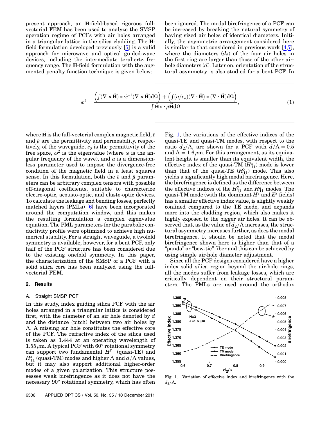present approach, an H-field-based rigorous fullvectorial FEM has been used to analyze the SMSP operation regime of PCFs with air holes arranged in a triangular lattice in the silica cladding. The Hfield formulation developed previously [5] is a valid approach for microwave and optical guided-wave devices, including the intermediate terahertz frequency range. The H-field formulation with the augmented penalty function technique is given below:

been ignored. The modal birefringence of a PCF can be increased by breaking the natural symmetry of having sized air holes of identical diameters. Initially, the asymmetric arrangement considered here is similar to that considered in previous work [4,7], where the diameters  $(d_2)$  of the four air holes in the first ring are larger than those of the other airhole diameters  $(d)$ . Later on, orientation of the structural asymmetry is also studied for a bent PCF. In

$$
\omega^2 = \frac{\left(\int (\nabla \times \vec{H}) \ast \cdot \hat{\epsilon}^{-1} (\nabla \times \vec{H}) d\Omega\right) + \left(\int (\alpha/\epsilon_o) (\nabla \cdot \vec{H}) \ast (\nabla \cdot \vec{H}) d\Omega\right)}{\int \vec{H} \ast \cdot \hat{\mu} \vec{H} d\Omega},
$$
(1)

where H is the full-vectorial complex magnetic field,  $\hat{\epsilon}$ and  $\hat{\mu}$  are the permittivity and permeability, respectively, of the waveguide,  $\varepsilon_0$  is the permittivity of the free space,  $\omega^2$  is the eigenvalue (where  $\omega$  is the angular frequency of the wave), and  $\alpha$  is a dimensionless parameter used to impose the divergence-free condition of the magnetic field in a least squares sense. In this formulation, both the  $\hat{\epsilon}$  and  $\hat{\mu}$  parameters can be arbitrary complex tensors with possible off-diagonal coefficients, suitable to characterize electro-optic, acousto-optic, and elasto-optic devices. To calculate the leakage and bending losses, perfectly matched layers (PMLs) [6] have been incorporated around the computation window, and this makes the resulting formulation a complex eigenvalue equation. The PML parameters for the parabolic conductivity profile were optimized to achieve high numerical stability. For a straight waveguide, a twofold symmetry is available; however, for a bent PCF, only half of the PCF structure has been considered due to the existing onefold symmetry. In this paper, the characterization of the SMSP of a PCF with a solid silica core has been analyzed using the fullvectorial FEM.

#### 2. Results

#### A. Straight SMSP PCF

In this study, index guiding silica PCF with the air holes arranged in a triangular lattice is considered first, with the diameter of an air hole denoted by  $d$ and the distance (pitch) between two air holes by Λ. A missing air hole constitutes the effective core of the PCF. The refractive index of the silica used is taken as 1.444 at an operating wavelength of  $1.55 \mu$ m. A typical PCF with 60 $^{\circ}$  rotational symmetry can support two fundamental  $H_{11}^{\nu}$  (quasi-TE) and  $H_{11}^x$  (quasi-TM) modes and higher  $\Lambda$  and  $d/\Lambda$  values, but it may also support additional higher-order modes of a given polarization. This structure possesses weak birefringence as it does not have the necessary 90° rotational symmetry, which has often

Fig. [1](#page-2-0), the variations of the effective indices of the quasi-TE and quasi-TM modes, with respect to the ratio  $d_2/\Lambda$ , are shown for a PCF with  $d/\Lambda = 0.5$ and  $\Lambda = 1.6 \mu m$ . For this arrangement, as its equivalent height is smaller than its equivalent width, the effective index of the quasi-TM  $(H_{11}^x)$  mode is lower than that of the quasi-TE  $(H_{11}^y)$  mode. This also yields a significantly high modal birefringence. Here, the birefringence is defined as the difference between the effective indices of the  $H_{11}^{\nu}$  and  $H_{11}^{\nu}$  modes. The quasi-TM mode (with the dominant  $H^y$  and  $E^x$  fields) has a smaller effective index value, is slightly weakly confined compared to the TE mode, and expands more into the cladding region, which also makes it highly exposed to the bigger air holes. It can be observed that, as the value of  $d_2/\Lambda$  increases, the structural asymmetry increases further, as does the modal birefringence. It should be noted that the modal birefringence shown here is higher than that of a "panda" or "bow-tie" fiber and this can be achieved by using simple air-hole diameter adjustment.

Since all the PCF designs considered have a higher index solid silica region beyond the air-hole rings, all the modes suffer from leakage losses, which are critically dependent on their structural parameters. The PMLs are used around the orthodox

<span id="page-2-0"></span>

Fig. 1. Variation of effective index and birefringence with the  $d_2/\Lambda$ .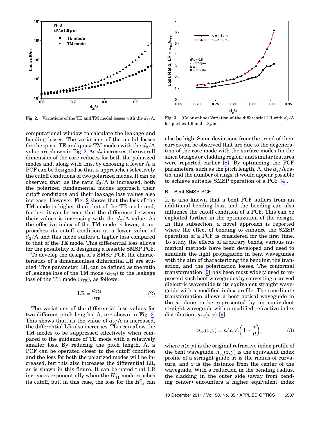<span id="page-3-0"></span>

Fig. 2. Variations of the TE and TM modal losses with the  $d_2/\Lambda$ .

computational window to calculate the leakage and bending losses. The variations of the modal losses for the quasi-TE and quasi-TM modes with the  $d_2/\Lambda$ value are shown in Fig. [2.](#page-3-0) As  $d_2$  increases, the overall dimension of the core reduces for both the polarized modes and, along with this, by choosing a lower  $\Lambda$ , a PCF can be designed so that it approaches selectively the cutoff conditions of two polarized modes. It can be observed that, as the ratio  $d_2/\Lambda$  is increased, both the polarized fundamental modes approach their cutoff conditions and their leakage loss values also increase. However, Fig. [2](#page-3-0) shows that the loss of the TM mode is higher than that of the TE mode and, further, it can be seen that the difference between their values is increasing with the  $d_2/\Lambda$  value. As the effective index of the TM mode is lower, it approaches its cutoff condition at a lower value of  $d_2/\Lambda$  and this mode suffers a higher loss compared to that of the TE mode. This differential loss allows for the possibility of designing a feasible SMSP PCF.

To develop the design of a SMSP PCF, the characteristics of a dimensionless differential LR are studied. This parameter, LR, can be defined as the ratio of leakage loss of the TM mode  $(\alpha_{TM})$  to the leakage loss of the TE mode  $(\alpha_{\text{TE}})$ , as follows:

$$
LR = \frac{\alpha_{\rm{TM}}}{\alpha_{\rm{TE}}}.
$$
 (2)

The variations of the differential loss values for two different pitch lengths,  $\Lambda$ , are shown in Fig. [3](#page-3-1). This shows that, as the value of  $d_2/\Lambda$  is increased, the differential LR also increases. This can allow the TM modes to be suppressed effectively when compared to the guidance of TE mode with a relatively smaller loss. By reducing the pitch length,  $\Lambda$ , a PCF can be operated closer to the cutoff condition and the loss for both the polarized modes will be increased, but this also increases the differential LR, as is shown in this figure. It can be noted that LR increases exponentially when the  $H_{11}^x$  mode reaches its cutoff, but, in this case, the loss for the  $H_{11}^{\gamma}$  can

<span id="page-3-1"></span>

Fig. 3. (Color online) Variation of the differential LR with  $d_2/\Lambda$ for pitches 1.6 and  $1.8 \mu$ m.

also be high. Some deviations from the trend of their curves can be observed that are due to the degeneration of the core mode with the surface modes (in the silica bridges or cladding region) and similar features were reported earlier  $[8]$ . By optimizing the PCF parameters, such as the pitch length,  $\Lambda$ , the  $d_2/\Lambda$  ratio, and the number of rings, it would appear possible to achieve suitable SMSP operation of a PCF [4].

#### B. Bent SMSP PCF

It is also known that a bent PCF suffers from an additional bending loss, and the bending can also influence the cutoff condition of a PCF. This can be exploited further in the optimization of the design. In this subsection, a novel approach is reported where the effect of bending to enhance the SMSP operation of a PCF is considered for the first time. To study the effects of arbitrary bends, various numerical methods have been developed and used to simulate the light propagation in bent waveguides with the aim of characterizing the bending, the transition, and the polarization losses. The conformal transformation [9] has been most widely used to represent such bent waveguides by converting a curved dielectric waveguide to its equivalent straight waveguide with a modified index profile. The coordinate transformation allows a bent optical waveguide in the  $x$  plane to be represented by an equivalent straight waveguide with a modified refractive index distribution,  $n_{eq}(x, y)$  [9]:

$$
n_{\text{eq}}(x,y) = n(x,y) \bigg( 1 + \frac{x}{R} \bigg),\tag{3}
$$

where  $n(x, y)$  is the original refractive index profile of the bent waveguide,  $n_{eq}(x, y)$  is the equivalent index profile of a straight guide,  $R$  is the radius of curvature, and  $x$  is the distance from the center of the waveguide. With a reduction in the bending radius, the cladding in the outer side (away from bending center) encounters a higher equivalent index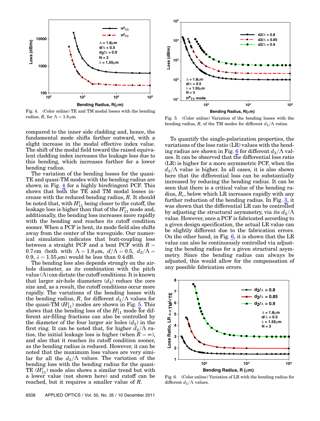<span id="page-4-0"></span>

Fig. 4. (Color online) TE and TM modal losses with the bending radius, R, for  $\Lambda = 1.8 \,\mu \text{m}$ .

compared to the inner side cladding and, hence, the fundamental mode shifts farther outward, with a slight increase in the modal effective index value. The shift of the modal field toward the raised equivalent cladding index increases the leakage loss due to this bending, which increases further for a lower bending radius.

The variation of the bending losses for the quasi-TE and quasi-TM modes with the bending radius are shown in Fig. [4](#page-4-0) for a highly birefringent PCF. This shows that both the TE and TM modal losses increase with the reduced bending radius, R. It should be noted that, with  $H_{11}^x$  being closer to the cutoff, the leakage loss is higher than that of the  $H_{11}^{\nu}$  mode and, additionally, the bending loss increases more rapidly with the bending and reaches its cutoff condition sooner. When a PCF is bent, its mode field also shifts away from the center of the waveguide. Our numerical simulation indicates that butt-coupling loss between a straight PCF and a bent PCF with  $R =$ 0.7 cm (both with  $\Lambda = 1.8 \mu \text{m}$ ,  $d/\Lambda = 0.5$ ,  $d_2/\Lambda =$ 0.9,  $\lambda = 1.55 \,\mu\text{m}$  would be less than 0.4 dB.

The bending loss also depends strongly on the airhole diameter, as its combination with the pitch value  $(\Lambda)$  can dictate the cutoff conditions. It is known that larger air-hole diameters  $(d_2)$  reduce the core size and, as a result, the cutoff conditions occur more rapidly. The variations of the bending losses with the bending radius, R, for different  $d_2/\Lambda$  values for the quasi-TM  $(H_{11}^x)$  modes are shown in Fig. [5.](#page-4-1) This shows that the bending loss of the  $H_{11}^x$  mode for different air-filling fractions can also be controlled by the diameter of the four larger air holes  $(d_2)$  in the first ring. It can be noted that, for higher  $d_2/\Lambda$  ratios, the initial leakage loss is higher (when  $R = \infty$ ), and also that it reaches its cutoff condition sooner, as the bending radius is reduced. However, it can be noted that the maximum loss values are very similar for all the  $d_2/\Lambda$  values. The variation of the bending loss with the bending radius for the quasi-TE  $(H_{11}^{\vee})$  mode also shows a similar trend but with a lower value (not shown here) and cutoff can be reached, but it requires a smaller value of R.

<span id="page-4-1"></span>

Fig. 5. (Color online) Variation of the bending losses with the bending radius, R, of the TM modes for different  $d_2/\Lambda$  ratios.

To quantify the single-polarization properties, the variations of the loss ratio (LR) values with the bend-ing radius are shown in Fig. [6](#page-4-2) for different  $d_2/\Lambda$  values. It can be observed that the differential loss ratio (LR) is higher for a more asymmetric PCF, when the  $d_2/\Lambda$  value is higher. In all cases, it is also shown here that the differential loss can be substantially increased by reducing the bending radius. It can be seen that there is a critical value of the bending radius,  $R_c$ , below which LR increases rapidly with any further reduction of the bending radius. In Fig. [3](#page-3-1), it was shown that the differential LR can be controlled by adjusting the structural asymmetry, via its  $d_2/\Lambda$ value. However, once a PCF is fabricated according to a given design specification, the actual LR value can be slightly different due to the fabrication errors. On the other hand, in Fig. [6](#page-4-2), it is shown that the LR value can also be continuously controlled via adjusting the bending radius for a given structural asymmetry. Since the bending radius can always be adjusted, this would allow for the compensation of any possible fabrication errors.

<span id="page-4-2"></span>

Fig. 6. (Color online) Variation of LR with the bending radius for different  $d_2/\Lambda$  values.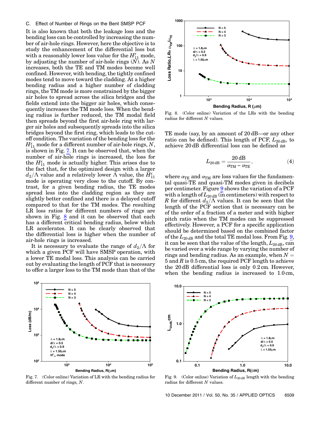#### C. Effect of Number of Rings on the Bent SMSP PCF

It is also known that both the leakage loss and the bending loss can be controlled by increasing the number of air-hole rings. However, here the objective is to study the enhancement of the differential loss but with a reasonably lower loss value for the  $H_{11}^{\nu}$  mode, by adjusting the number of air-hole rings  $(N)$ . As N increases, both the TE and TM modes become well confined. However, with bending, the tightly confined modes tend to move toward the cladding. At a higher bending radius and a higher number of cladding rings, the TM mode is more constrained by the bigger air holes to spread across the silica bridges and the fields extend into the bigger air holes, which consequently increases the TM mode loss. When the bending radius is further reduced, the TM modal field then spreads beyond the first air-hole ring with larger air holes and subsequently spreads into the silica bridges beyond the first ring, which leads to the cutoff condition. The variation of the bending loss for the  $H_{11}^x$  mode for a different number of air-hole rings,  $N,$ is shown in Fig. [7.](#page-5-0) It can be observed that, when the number of air-hole rings is increased, the loss for the  $H_{11}^x$  mode is actually higher. This arises due to the fact that, for the optimized design with a larger  $d_2/\Lambda$  value and a relatively lower  $\breve{\Lambda}$  value, the  $\breve{H}_{11}^x$ mode is operating very close to the cutoff. By contrast, for a given bending radius, the TE modes spread less into the cladding region as they are slightly better confined and there is a delayed cutoff compared to that for the TM modes. The resulting LR loss ratios for different numbers of rings are shown in Fig. [8](#page-5-1) and it can be observed that each has a different critical bending radius, below which LR accelerates. It can be clearly observed that the differential loss is higher when the number of air-hole rings is increased.

It is necessary to evaluate the range of  $d_2/\Lambda$  for which a given PCF will have SMSP operation, with a lower TE modal loss. This analysis can be carried out by evaluating the length of PCF that is necessary to offer a larger loss to the TM mode than that of the

<span id="page-5-0"></span>

Fig. 7. (Color online) Variation of LR with the bending radius for different number of rings, N.

<span id="page-5-1"></span>

Fig. 8. (Color online) Variation of the LRs with the bending radius for different  $N$  values.

TE mode (say, by an amount of <sup>20</sup> dB—or any other ratio can be defined). This length of PCF,  $L_{20 \text{ dB}}$ , to achieve 20 dB differential loss can be defined as

$$
L_{20\,{\rm dB}} = \frac{20\,{\rm dB}}{\alpha_{\rm TM}-\alpha_{\rm TE}}, \eqno(4)
$$

where  $\alpha_{\text{TE}}$  and  $\alpha_{\text{TM}}$  are loss values for the fundamental quasi-TE and quasi-TM modes given in decibels per centimeter. Figure [9](#page-5-2) shows the variation of a PCF with a length of  $L_{20 \text{ dB}}$  (in centimeters) with respect to R for different  $d_2/\Lambda$  values. It can be seen that the length of the PCF section that is necessary can be of the order of a fraction of a meter and with higher pitch ratio when the TM modes can be suppressed effectively. However, a PCF for a specific application should be determined based on the combined factor of the  $L_{20 \text{ dB}}$  and the total TE modal loss. From Fig. [9](#page-5-2), it can be seen that the value of the length,  $L_{20 \text{ dB}}$ , can be varied over a wide range by varying the number of rings and bending radius. As an example, when  $N =$ 5 and  $R$  is 0.5 cm, the required PCF length to achieve the 20 dB differential loss is only 0:2 cm. However, when the bending radius is increased to  $1.0 \text{ cm}$ ,

<span id="page-5-2"></span>

Fig. 9. (Color online) Variation of  $L_{20 \text{ dB}}$  length with the bending radius for different  $N$  values.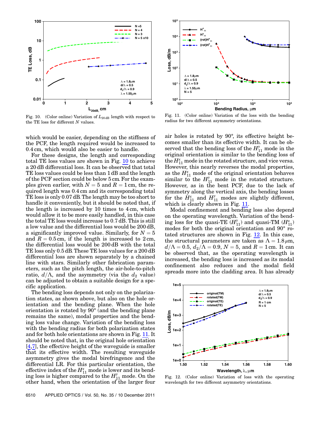<span id="page-6-0"></span>

Fig. 10. (Color online) Variation of  $L_{20 \text{ dB}}$  length with respect to the TE loss for different  $N$  values.

which would be easier, depending on the stiffness of the PCF, the length required would be increased to 0:4 cm, which would also be easier to handle.

For these designs, the length and corresponding total TE loss values are shown in Fig. [10](#page-6-0) to achieve a 20 dB differential loss. It can be observed that total TE loss values could be less than 1 dB and the length of the PCF section could be below 5 cm. For the examples given earlier, with  $N = 5$  and  $R = 1$  cm, the required length was 0:4 cm and its corresponding total TE loss is only 0:07 dB. The length may be too short to handle it conveniently, but it should be noted that, if the length is increased by 10 times to 4 cm, which would allow it to be more easily handled, in this case the total TE loss would increase to 0:7 dB. This is still a low value and the differential loss would be 200 dB, a significantly improved value. Similarly, for  $N = 5$ and  $R = 0.5$  cm, if the length is increased to 2 cm, the differential loss would be 200 dB with the total TE loss only 0:5 dB. These TE loss values for a 200 dB differential loss are shown separately by a chained line with stars. Similarly other fabrication parameters, such as the pitch length, the air-hole-to-pitch ratio,  $d/\Lambda$ , and the asymmetry (via the  $d_2$  value) can be adjusted to obtain a suitable design for a specific application.

The bending loss depends not only on the polarization states, as shown above, but also on the hole orientation and the bending plane. When the hole orientation is rotated by  $90^{\circ}$  (and the bending plane remains the same), modal properties and the bending loss value change. Variation of the bending loss with the bending radius for both polarization states and for both hole orientations are shown in Fig. [11](#page-6-1). It should be noted that, in the original hole orientation [4,7], the effective height of the waveguide is smaller that its effective width. The resulting waveguide asymmetry gives the modal birefringence and the differential LR. For this particular orientation, the effective index of the  $H_{11}^x$  mode is lower and its bending loss is higher compared to the  $H_{11}^{\nu}$  mode. On the other hand, when the orientation of the larger four

<span id="page-6-1"></span>

Fig. 11. (Color online) Variation of the loss with the bending radius for two different asymmetry orientations.

air holes is rotated by 90°, its effective height becomes smaller than its effective width. It can be observed that the bending loss of the  $H_{11}^{\nu}$  mode in the original orientation is similar to the bending loss of the  $H_{11}^x$  mode in the rotated structure, and vice versa. However, this nearly reverses the modal properties, as the  $H_{11}^x$  mode of the original orientation behaves similar to the  $H_{11}^{\gamma}$  mode in the rotated structure. However, as in the bent PCF, due to the lack of symmetry along the vertical axis, the bending losses for the  $H_{11}^*$  and  $H_{11}^{\prime\prime}$  modes are slightly different, which is clearly shown in Fig. [11](#page-6-1).

Modal confinement and bending loss also depend on the operating wavelength. Variation of the bending loss for the quasi-TE  $(H_{11}^{\nu})$  and quasi-TM  $(H_{11}^{\nu})$ modes for both the original orientation and 90° rotated structures are shown in Fig. [12](#page-6-2). In this case, the structural parameters are taken as  $\Lambda = 1.8 \,\mu \mathrm{m}$ ,  $d/\Lambda = 0.5, d_2/\Lambda = 0.9, N = 5, \text{ and } R = 1 \text{ cm}.$  It can be observed that, as the operating wavelength is increased, the bending loss is increased as its modal confinement also reduces and the modal field spreads more into the cladding area. It has already

<span id="page-6-2"></span>

Fig. 12. (Color online) Variation of loss with the operating wavelength for two different asymmetry orientations.